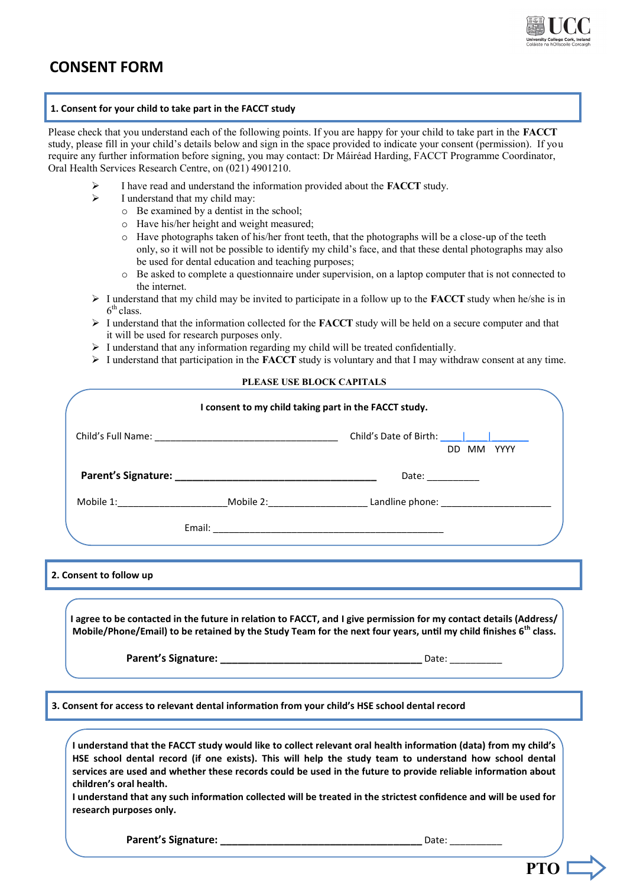

## **CONSENT FORM**

#### **1. Consent for your child to take part in the FACCT study**

Please check that you understand each of the following points. If you are happy for your child to take part in the **FACCT** study, please fill in your child's details below and sign in the space provided to indicate your consent (permission). If you require any further information before signing, you may contact: Dr Máiréad Harding, FACCT Programme Coordinator, Oral Health Services Research Centre, on (021) 4901210.

- I have read and understand the information provided about the **FACCT** study.
- $\triangleright$  I understand that my child may:
	- o Be examined by a dentist in the school;
	- o Have his/her height and weight measured;
	- $\circ$  Have photographs taken of his/her front teeth, that the photographs will be a close-up of the teeth only, so it will not be possible to identify my child's face, and that these dental photographs may also be used for dental education and teaching purposes;
	- o Be asked to complete a questionnaire under supervision, on a laptop computer that is not connected to the internet.
- $\triangleright$  I understand that my child may be invited to participate in a follow up to the **FACCT** study when he/she is in  $6<sup>th</sup>$  class.
- I understand that the information collected for the **FACCT** study will be held on a secure computer and that it will be used for research purposes only.
- $\triangleright$  I understand that any information regarding my child will be treated confidentially.
- $\triangleright$  I understand that participation in the **FACCT** study is voluntary and that I may withdraw consent at any time.

### **PLEASE USE BLOCK CAPITALS**

|                                                    | I consent to my child taking part in the FACCT study.                                                                                                                                                                                                                                                                                                                                                                                                            |
|----------------------------------------------------|------------------------------------------------------------------------------------------------------------------------------------------------------------------------------------------------------------------------------------------------------------------------------------------------------------------------------------------------------------------------------------------------------------------------------------------------------------------|
|                                                    | DD MM YYYY                                                                                                                                                                                                                                                                                                                                                                                                                                                       |
|                                                    | Date: $\qquad \qquad$                                                                                                                                                                                                                                                                                                                                                                                                                                            |
|                                                    |                                                                                                                                                                                                                                                                                                                                                                                                                                                                  |
|                                                    |                                                                                                                                                                                                                                                                                                                                                                                                                                                                  |
| 2. Consent to follow up                            |                                                                                                                                                                                                                                                                                                                                                                                                                                                                  |
|                                                    | I agree to be contacted in the future in relation to FACCT, and I give permission for my contact details (Address/                                                                                                                                                                                                                                                                                                                                               |
|                                                    | Mobile/Phone/Email) to be retained by the Study Team for the next four years, until my child finishes 6 <sup>th</sup> class.                                                                                                                                                                                                                                                                                                                                     |
|                                                    | 3. Consent for access to relevant dental information from your child's HSE school dental record                                                                                                                                                                                                                                                                                                                                                                  |
| children's oral health.<br>research purposes only. | I understand that the FACCT study would like to collect relevant oral health information (data) from my child's<br>HSE school dental record (if one exists). This will help the study team to understand how school dental<br>services are used and whether these records could be used in the future to provide reliable information about<br>I understand that any such information collected will be treated in the strictest confidence and will be used for |